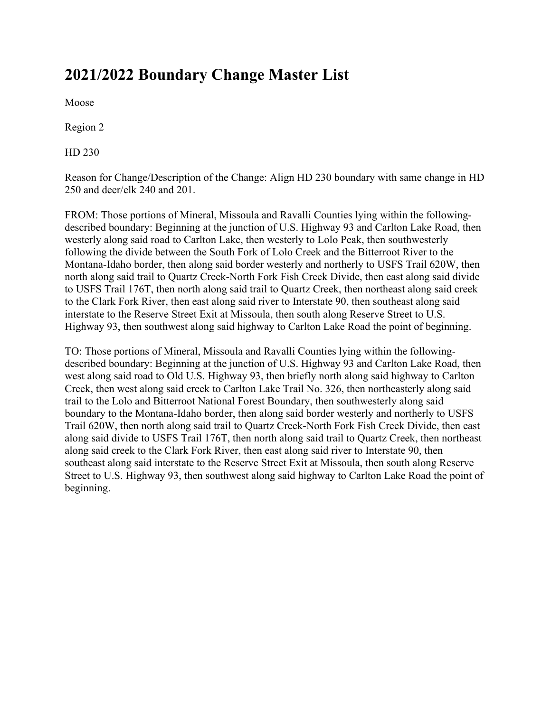# **2021/2022 Boundary Change Master List**

Moose

Region 2

HD 230

Reason for Change/Description of the Change: Align HD 230 boundary with same change in HD 250 and deer/elk 240 and 201.

FROM: Those portions of Mineral, Missoula and Ravalli Counties lying within the followingdescribed boundary: Beginning at the junction of U.S. Highway 93 and Carlton Lake Road, then westerly along said road to Carlton Lake, then westerly to Lolo Peak, then southwesterly following the divide between the South Fork of Lolo Creek and the Bitterroot River to the Montana-Idaho border, then along said border westerly and northerly to USFS Trail 620W, then north along said trail to Quartz Creek-North Fork Fish Creek Divide, then east along said divide to USFS Trail 176T, then north along said trail to Quartz Creek, then northeast along said creek to the Clark Fork River, then east along said river to Interstate 90, then southeast along said interstate to the Reserve Street Exit at Missoula, then south along Reserve Street to U.S. Highway 93, then southwest along said highway to Carlton Lake Road the point of beginning.

TO: Those portions of Mineral, Missoula and Ravalli Counties lying within the followingdescribed boundary: Beginning at the junction of U.S. Highway 93 and Carlton Lake Road, then west along said road to Old U.S. Highway 93, then briefly north along said highway to Carlton Creek, then west along said creek to Carlton Lake Trail No. 326, then northeasterly along said trail to the Lolo and Bitterroot National Forest Boundary, then southwesterly along said boundary to the Montana-Idaho border, then along said border westerly and northerly to USFS Trail 620W, then north along said trail to Quartz Creek-North Fork Fish Creek Divide, then east along said divide to USFS Trail 176T, then north along said trail to Quartz Creek, then northeast along said creek to the Clark Fork River, then east along said river to Interstate 90, then southeast along said interstate to the Reserve Street Exit at Missoula, then south along Reserve Street to U.S. Highway 93, then southwest along said highway to Carlton Lake Road the point of beginning.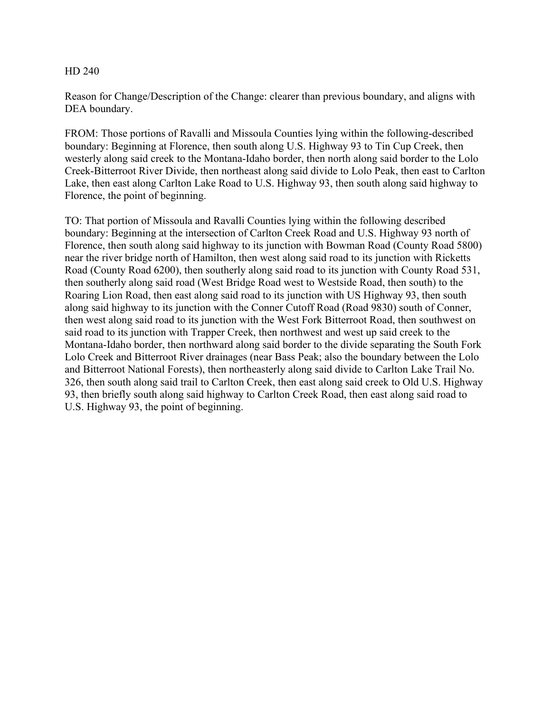Reason for Change/Description of the Change: clearer than previous boundary, and aligns with DEA boundary.

FROM: Those portions of Ravalli and Missoula Counties lying within the following-described boundary: Beginning at Florence, then south along U.S. Highway 93 to Tin Cup Creek, then westerly along said creek to the Montana-Idaho border, then north along said border to the Lolo Creek-Bitterroot River Divide, then northeast along said divide to Lolo Peak, then east to Carlton Lake, then east along Carlton Lake Road to U.S. Highway 93, then south along said highway to Florence, the point of beginning.

TO: That portion of Missoula and Ravalli Counties lying within the following described boundary: Beginning at the intersection of Carlton Creek Road and U.S. Highway 93 north of Florence, then south along said highway to its junction with Bowman Road (County Road 5800) near the river bridge north of Hamilton, then west along said road to its junction with Ricketts Road (County Road 6200), then southerly along said road to its junction with County Road 531, then southerly along said road (West Bridge Road west to Westside Road, then south) to the Roaring Lion Road, then east along said road to its junction with US Highway 93, then south along said highway to its junction with the Conner Cutoff Road (Road 9830) south of Conner, then west along said road to its junction with the West Fork Bitterroot Road, then southwest on said road to its junction with Trapper Creek, then northwest and west up said creek to the Montana-Idaho border, then northward along said border to the divide separating the South Fork Lolo Creek and Bitterroot River drainages (near Bass Peak; also the boundary between the Lolo and Bitterroot National Forests), then northeasterly along said divide to Carlton Lake Trail No. 326, then south along said trail to Carlton Creek, then east along said creek to Old U.S. Highway 93, then briefly south along said highway to Carlton Creek Road, then east along said road to U.S. Highway 93, the point of beginning.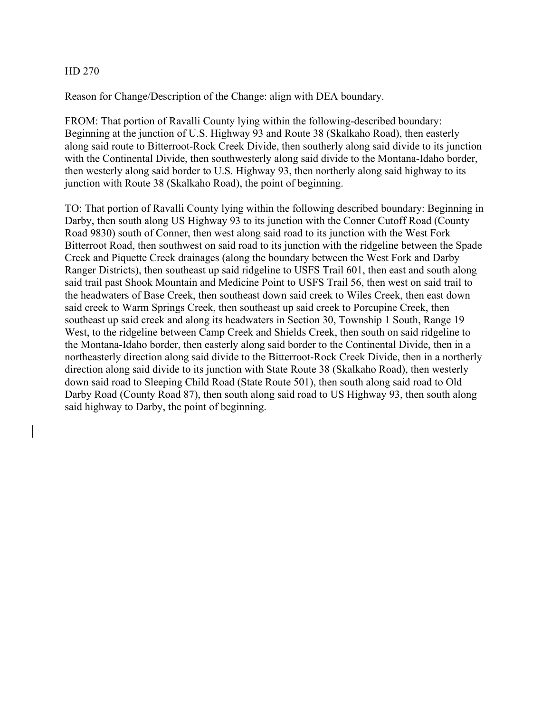Reason for Change/Description of the Change: align with DEA boundary.

FROM: That portion of Ravalli County lying within the following-described boundary: Beginning at the junction of U.S. Highway 93 and Route 38 (Skalkaho Road), then easterly along said route to Bitterroot-Rock Creek Divide, then southerly along said divide to its junction with the Continental Divide, then southwesterly along said divide to the Montana-Idaho border, then westerly along said border to U.S. Highway 93, then northerly along said highway to its junction with Route 38 (Skalkaho Road), the point of beginning.

TO: That portion of Ravalli County lying within the following described boundary: Beginning in Darby, then south along US Highway 93 to its junction with the Conner Cutoff Road (County Road 9830) south of Conner, then west along said road to its junction with the West Fork Bitterroot Road, then southwest on said road to its junction with the ridgeline between the Spade Creek and Piquette Creek drainages (along the boundary between the West Fork and Darby Ranger Districts), then southeast up said ridgeline to USFS Trail 601, then east and south along said trail past Shook Mountain and Medicine Point to USFS Trail 56, then west on said trail to the headwaters of Base Creek, then southeast down said creek to Wiles Creek, then east down said creek to Warm Springs Creek, then southeast up said creek to Porcupine Creek, then southeast up said creek and along its headwaters in Section 30, Township 1 South, Range 19 West, to the ridgeline between Camp Creek and Shields Creek, then south on said ridgeline to the Montana-Idaho border, then easterly along said border to the Continental Divide, then in a northeasterly direction along said divide to the Bitterroot-Rock Creek Divide, then in a northerly direction along said divide to its junction with State Route 38 (Skalkaho Road), then westerly down said road to Sleeping Child Road (State Route 501), then south along said road to Old Darby Road (County Road 87), then south along said road to US Highway 93, then south along said highway to Darby, the point of beginning.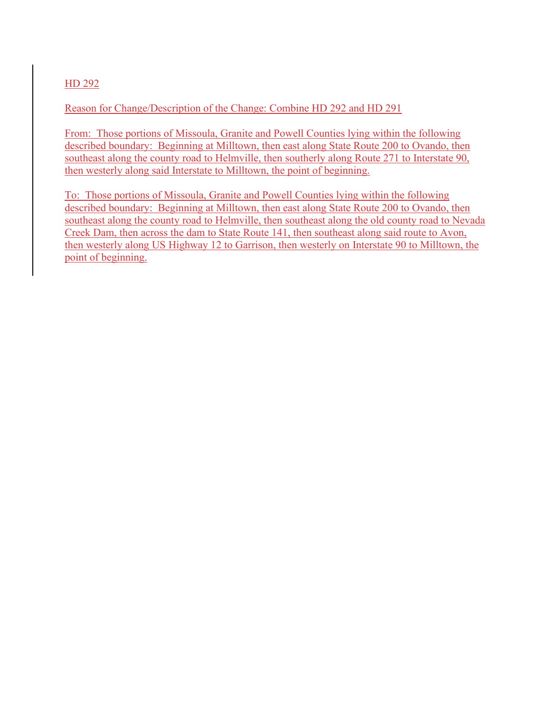Reason for Change/Description of the Change: Combine HD 292 and HD 291

From: Those portions of Missoula, Granite and Powell Counties lying within the following described boundary: Beginning at Milltown, then east along State Route 200 to Ovando, then southeast along the county road to Helmville, then southerly along Route 271 to Interstate 90, then westerly along said Interstate to Milltown, the point of beginning.

To: Those portions of Missoula, Granite and Powell Counties lying within the following described boundary: Beginning at Milltown, then east along State Route 200 to Ovando, then southeast along the county road to Helmville, then southeast along the old county road to Nevada Creek Dam, then across the dam to State Route 141, then southeast along said route to Avon, then westerly along US Highway 12 to Garrison, then westerly on Interstate 90 to Milltown, the point of beginning.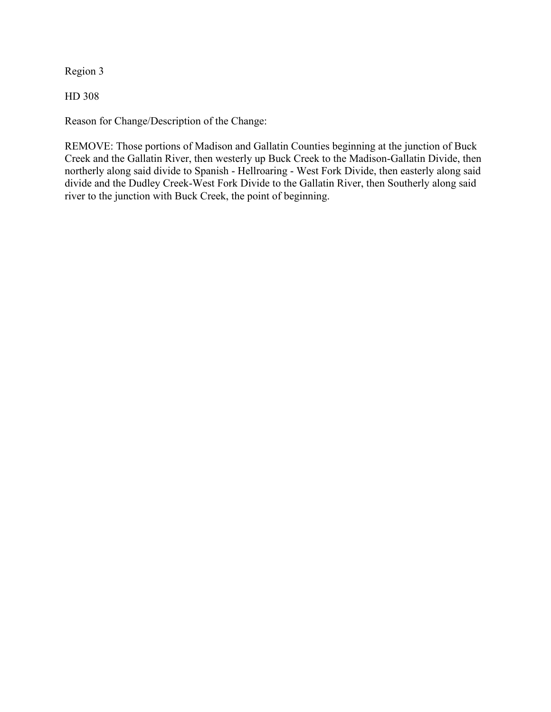Region 3

HD 308

Reason for Change/Description of the Change:

REMOVE: Those portions of Madison and Gallatin Counties beginning at the junction of Buck Creek and the Gallatin River, then westerly up Buck Creek to the Madison-Gallatin Divide, then northerly along said divide to Spanish - Hellroaring - West Fork Divide, then easterly along said divide and the Dudley Creek-West Fork Divide to the Gallatin River, then Southerly along said river to the junction with Buck Creek, the point of beginning.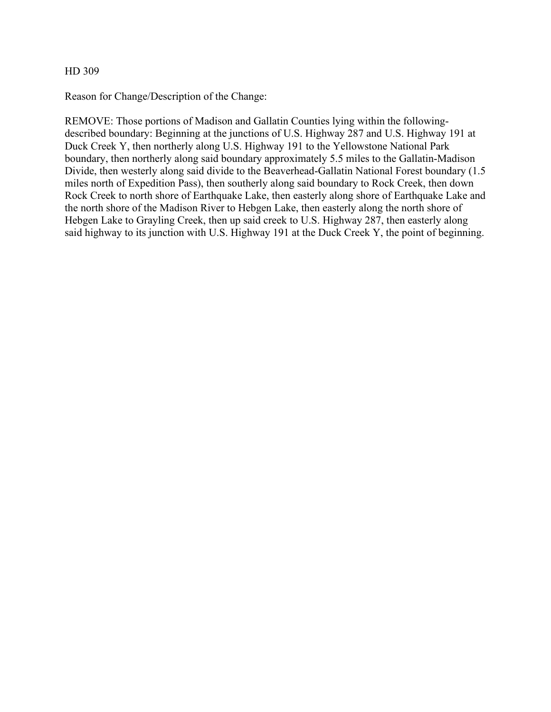Reason for Change/Description of the Change:

REMOVE: Those portions of Madison and Gallatin Counties lying within the followingdescribed boundary: Beginning at the junctions of U.S. Highway 287 and U.S. Highway 191 at Duck Creek Y, then northerly along U.S. Highway 191 to the Yellowstone National Park boundary, then northerly along said boundary approximately 5.5 miles to the Gallatin-Madison Divide, then westerly along said divide to the Beaverhead-Gallatin National Forest boundary (1.5 miles north of Expedition Pass), then southerly along said boundary to Rock Creek, then down Rock Creek to north shore of Earthquake Lake, then easterly along shore of Earthquake Lake and the north shore of the Madison River to Hebgen Lake, then easterly along the north shore of Hebgen Lake to Grayling Creek, then up said creek to U.S. Highway 287, then easterly along said highway to its junction with U.S. Highway 191 at the Duck Creek Y, the point of beginning.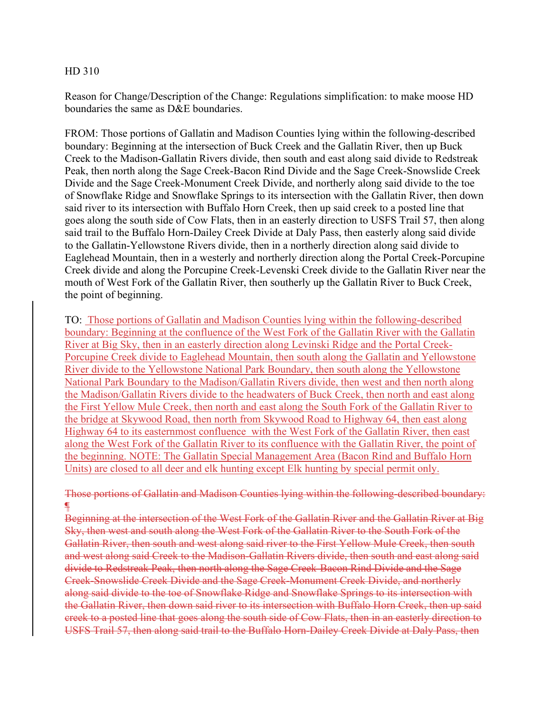Reason for Change/Description of the Change: Regulations simplification: to make moose HD boundaries the same as D&E boundaries.

FROM: Those portions of Gallatin and Madison Counties lying within the following-described boundary: Beginning at the intersection of Buck Creek and the Gallatin River, then up Buck Creek to the Madison-Gallatin Rivers divide, then south and east along said divide to Redstreak Peak, then north along the Sage Creek-Bacon Rind Divide and the Sage Creek-Snowslide Creek Divide and the Sage Creek-Monument Creek Divide, and northerly along said divide to the toe of Snowflake Ridge and Snowflake Springs to its intersection with the Gallatin River, then down said river to its intersection with Buffalo Horn Creek, then up said creek to a posted line that goes along the south side of Cow Flats, then in an easterly direction to USFS Trail 57, then along said trail to the Buffalo Horn-Dailey Creek Divide at Daly Pass, then easterly along said divide to the Gallatin-Yellowstone Rivers divide, then in a northerly direction along said divide to Eaglehead Mountain, then in a westerly and northerly direction along the Portal Creek-Porcupine Creek divide and along the Porcupine Creek-Levenski Creek divide to the Gallatin River near the mouth of West Fork of the Gallatin River, then southerly up the Gallatin River to Buck Creek, the point of beginning.

TO: Those portions of Gallatin and Madison Counties lying within the following-described boundary: Beginning at the confluence of the West Fork of the Gallatin River with the Gallatin River at Big Sky, then in an easterly direction along Levinski Ridge and the Portal Creek-Porcupine Creek divide to Eaglehead Mountain, then south along the Gallatin and Yellowstone River divide to the Yellowstone National Park Boundary, then south along the Yellowstone National Park Boundary to the Madison/Gallatin Rivers divide, then west and then north along the Madison/Gallatin Rivers divide to the headwaters of Buck Creek, then north and east along the First Yellow Mule Creek, then north and east along the South Fork of the Gallatin River to the bridge at Skywood Road, then north from Skywood Road to Highway 64, then east along Highway 64 to its easternmost confluence with the West Fork of the Gallatin River, then east along the West Fork of the Gallatin River to its confluence with the Gallatin River, the point of the beginning. NOTE: The Gallatin Special Management Area (Bacon Rind and Buffalo Horn Units) are closed to all deer and elk hunting except Elk hunting by special permit only.

# Those portions of Gallatin and Madison Counties lying within the following-described boundary: ¶

Beginning at the intersection of the West Fork of the Gallatin River and the Gallatin River at Big Sky, then west and south along the West Fork of the Gallatin River to the South Fork of the Gallatin River, then south and west along said river to the First Yellow Mule Creek, then south and west along said Creek to the Madison-Gallatin Rivers divide, then south and east along said divide to Redstreak Peak, then north along the Sage Creek-Bacon Rind Divide and the Sage Creek-Snowslide Creek Divide and the Sage Creek-Monument Creek Divide, and northerly along said divide to the toe of Snowflake Ridge and Snowflake Springs to its intersection with the Gallatin River, then down said river to its intersection with Buffalo Horn Creek, then up said creek to a posted line that goes along the south side of Cow Flats, then in an easterly direction to USFS Trail 57, then along said trail to the Buffalo Horn-Dailey Creek Divide at Daly Pass, then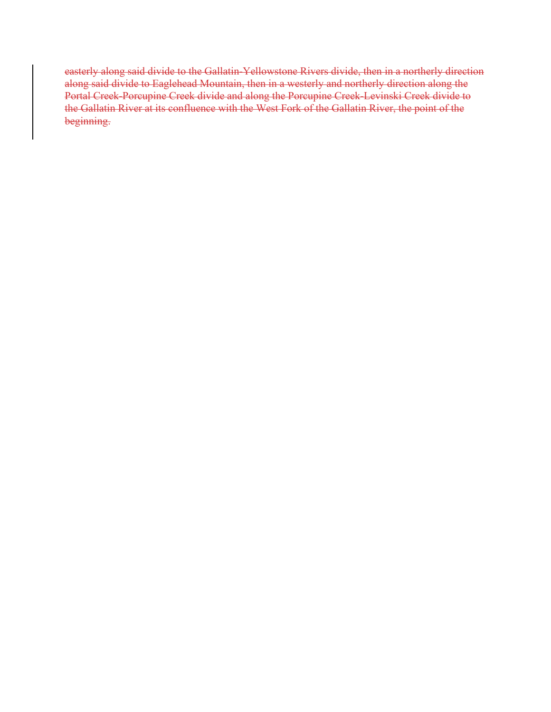easterly along said divide to the Gallatin-Yellowstone Rivers divide, then in a northerly direction along said divide to Eaglehead Mountain, then in a westerly and northerly direction along the Portal Creek-Porcupine Creek divide and along the Porcupine Creek-Levinski Creek divide to the Gallatin River at its confluence with the West Fork of the Gallatin River, the point of the beginning.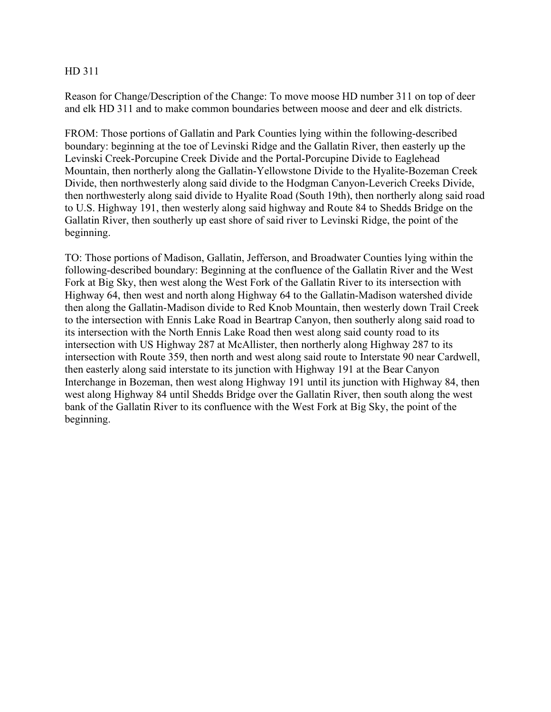Reason for Change/Description of the Change: To move moose HD number 311 on top of deer and elk HD 311 and to make common boundaries between moose and deer and elk districts.

FROM: Those portions of Gallatin and Park Counties lying within the following-described boundary: beginning at the toe of Levinski Ridge and the Gallatin River, then easterly up the Levinski Creek-Porcupine Creek Divide and the Portal-Porcupine Divide to Eaglehead Mountain, then northerly along the Gallatin-Yellowstone Divide to the Hyalite-Bozeman Creek Divide, then northwesterly along said divide to the Hodgman Canyon-Leverich Creeks Divide, then northwesterly along said divide to Hyalite Road (South 19th), then northerly along said road to U.S. Highway 191, then westerly along said highway and Route 84 to Shedds Bridge on the Gallatin River, then southerly up east shore of said river to Levinski Ridge, the point of the beginning.

TO: Those portions of Madison, Gallatin, Jefferson, and Broadwater Counties lying within the following-described boundary: Beginning at the confluence of the Gallatin River and the West Fork at Big Sky, then west along the West Fork of the Gallatin River to its intersection with Highway 64, then west and north along Highway 64 to the Gallatin-Madison watershed divide then along the Gallatin-Madison divide to Red Knob Mountain, then westerly down Trail Creek to the intersection with Ennis Lake Road in Beartrap Canyon, then southerly along said road to its intersection with the North Ennis Lake Road then west along said county road to its intersection with US Highway 287 at McAllister, then northerly along Highway 287 to its intersection with Route 359, then north and west along said route to Interstate 90 near Cardwell, then easterly along said interstate to its junction with Highway 191 at the Bear Canyon Interchange in Bozeman, then west along Highway 191 until its junction with Highway 84, then west along Highway 84 until Shedds Bridge over the Gallatin River, then south along the west bank of the Gallatin River to its confluence with the West Fork at Big Sky, the point of the beginning.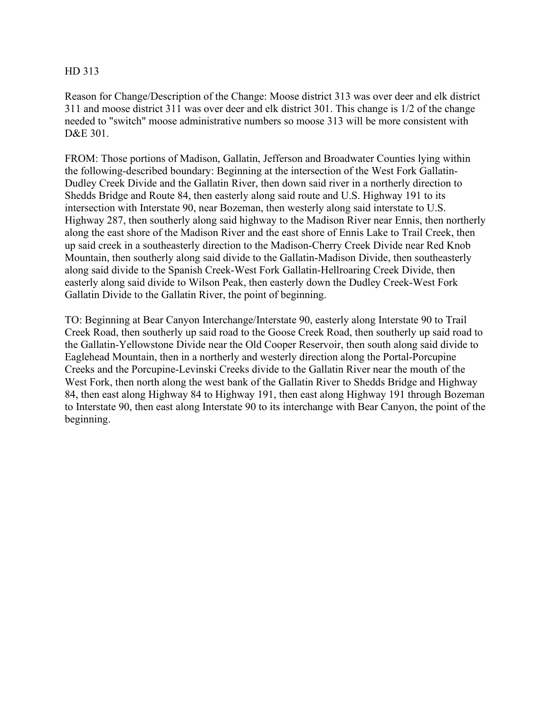Reason for Change/Description of the Change: Moose district 313 was over deer and elk district 311 and moose district 311 was over deer and elk district 301. This change is 1/2 of the change needed to "switch" moose administrative numbers so moose 313 will be more consistent with D&E 301.

FROM: Those portions of Madison, Gallatin, Jefferson and Broadwater Counties lying within the following-described boundary: Beginning at the intersection of the West Fork Gallatin-Dudley Creek Divide and the Gallatin River, then down said river in a northerly direction to Shedds Bridge and Route 84, then easterly along said route and U.S. Highway 191 to its intersection with Interstate 90, near Bozeman, then westerly along said interstate to U.S. Highway 287, then southerly along said highway to the Madison River near Ennis, then northerly along the east shore of the Madison River and the east shore of Ennis Lake to Trail Creek, then up said creek in a southeasterly direction to the Madison-Cherry Creek Divide near Red Knob Mountain, then southerly along said divide to the Gallatin-Madison Divide, then southeasterly along said divide to the Spanish Creek-West Fork Gallatin-Hellroaring Creek Divide, then easterly along said divide to Wilson Peak, then easterly down the Dudley Creek-West Fork Gallatin Divide to the Gallatin River, the point of beginning.

TO: Beginning at Bear Canyon Interchange/Interstate 90, easterly along Interstate 90 to Trail Creek Road, then southerly up said road to the Goose Creek Road, then southerly up said road to the Gallatin-Yellowstone Divide near the Old Cooper Reservoir, then south along said divide to Eaglehead Mountain, then in a northerly and westerly direction along the Portal-Porcupine Creeks and the Porcupine-Levinski Creeks divide to the Gallatin River near the mouth of the West Fork, then north along the west bank of the Gallatin River to Shedds Bridge and Highway 84, then east along Highway 84 to Highway 191, then east along Highway 191 through Bozeman to Interstate 90, then east along Interstate 90 to its interchange with Bear Canyon, the point of the beginning.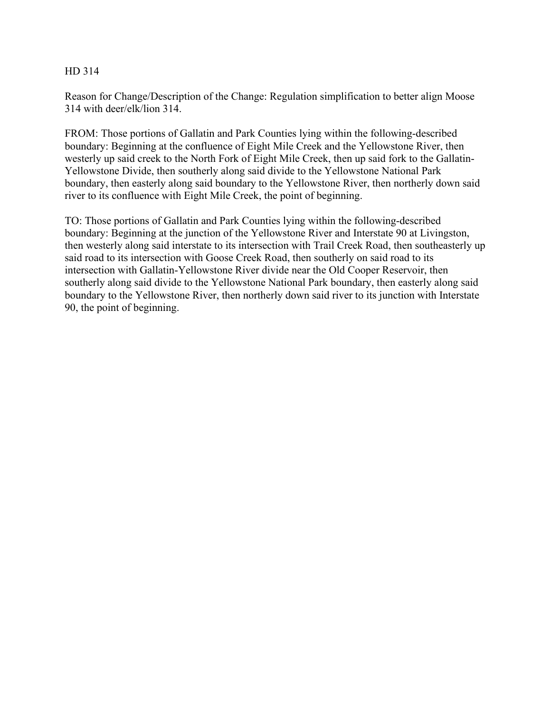Reason for Change/Description of the Change: Regulation simplification to better align Moose 314 with deer/elk/lion 314.

FROM: Those portions of Gallatin and Park Counties lying within the following-described boundary: Beginning at the confluence of Eight Mile Creek and the Yellowstone River, then westerly up said creek to the North Fork of Eight Mile Creek, then up said fork to the Gallatin-Yellowstone Divide, then southerly along said divide to the Yellowstone National Park boundary, then easterly along said boundary to the Yellowstone River, then northerly down said river to its confluence with Eight Mile Creek, the point of beginning.

TO: Those portions of Gallatin and Park Counties lying within the following-described boundary: Beginning at the junction of the Yellowstone River and Interstate 90 at Livingston, then westerly along said interstate to its intersection with Trail Creek Road, then southeasterly up said road to its intersection with Goose Creek Road, then southerly on said road to its intersection with Gallatin-Yellowstone River divide near the Old Cooper Reservoir, then southerly along said divide to the Yellowstone National Park boundary, then easterly along said boundary to the Yellowstone River, then northerly down said river to its junction with Interstate 90, the point of beginning.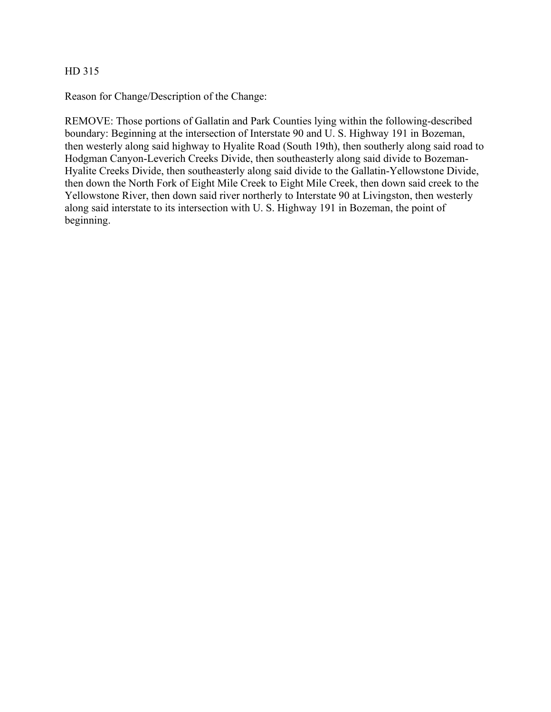Reason for Change/Description of the Change:

REMOVE: Those portions of Gallatin and Park Counties lying within the following-described boundary: Beginning at the intersection of Interstate 90 and U. S. Highway 191 in Bozeman, then westerly along said highway to Hyalite Road (South 19th), then southerly along said road to Hodgman Canyon-Leverich Creeks Divide, then southeasterly along said divide to Bozeman-Hyalite Creeks Divide, then southeasterly along said divide to the Gallatin-Yellowstone Divide, then down the North Fork of Eight Mile Creek to Eight Mile Creek, then down said creek to the Yellowstone River, then down said river northerly to Interstate 90 at Livingston, then westerly along said interstate to its intersection with U. S. Highway 191 in Bozeman, the point of beginning.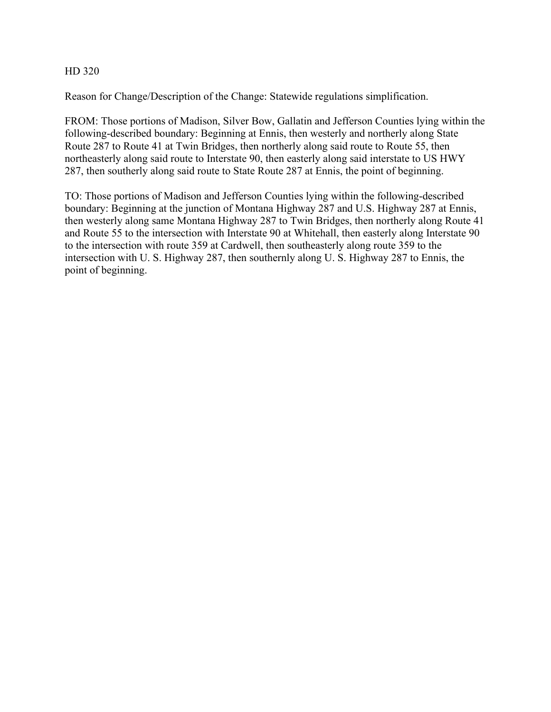Reason for Change/Description of the Change: Statewide regulations simplification.

FROM: Those portions of Madison, Silver Bow, Gallatin and Jefferson Counties lying within the following-described boundary: Beginning at Ennis, then westerly and northerly along State Route 287 to Route 41 at Twin Bridges, then northerly along said route to Route 55, then northeasterly along said route to Interstate 90, then easterly along said interstate to US HWY 287, then southerly along said route to State Route 287 at Ennis, the point of beginning.

TO: Those portions of Madison and Jefferson Counties lying within the following-described boundary: Beginning at the junction of Montana Highway 287 and U.S. Highway 287 at Ennis, then westerly along same Montana Highway 287 to Twin Bridges, then northerly along Route 41 and Route 55 to the intersection with Interstate 90 at Whitehall, then easterly along Interstate 90 to the intersection with route 359 at Cardwell, then southeasterly along route 359 to the intersection with U. S. Highway 287, then southernly along U. S. Highway 287 to Ennis, the point of beginning.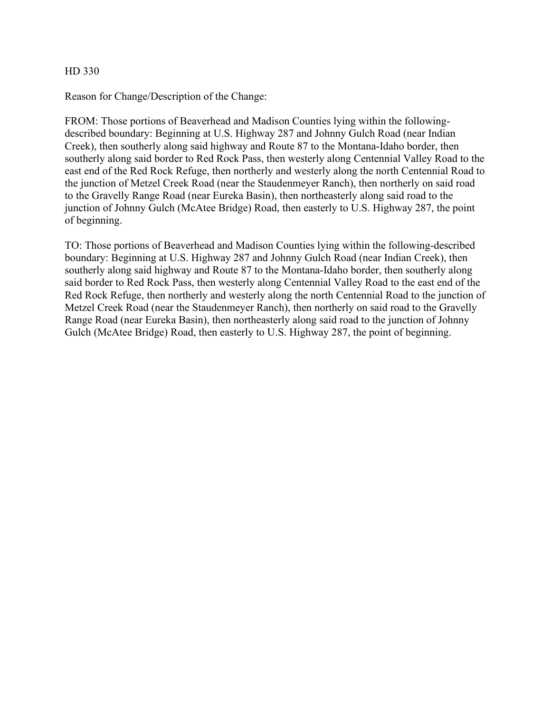Reason for Change/Description of the Change:

FROM: Those portions of Beaverhead and Madison Counties lying within the followingdescribed boundary: Beginning at U.S. Highway 287 and Johnny Gulch Road (near Indian Creek), then southerly along said highway and Route 87 to the Montana-Idaho border, then southerly along said border to Red Rock Pass, then westerly along Centennial Valley Road to the east end of the Red Rock Refuge, then northerly and westerly along the north Centennial Road to the junction of Metzel Creek Road (near the Staudenmeyer Ranch), then northerly on said road to the Gravelly Range Road (near Eureka Basin), then northeasterly along said road to the junction of Johnny Gulch (McAtee Bridge) Road, then easterly to U.S. Highway 287, the point of beginning.

TO: Those portions of Beaverhead and Madison Counties lying within the following-described boundary: Beginning at U.S. Highway 287 and Johnny Gulch Road (near Indian Creek), then southerly along said highway and Route 87 to the Montana-Idaho border, then southerly along said border to Red Rock Pass, then westerly along Centennial Valley Road to the east end of the Red Rock Refuge, then northerly and westerly along the north Centennial Road to the junction of Metzel Creek Road (near the Staudenmeyer Ranch), then northerly on said road to the Gravelly Range Road (near Eureka Basin), then northeasterly along said road to the junction of Johnny Gulch (McAtee Bridge) Road, then easterly to U.S. Highway 287, the point of beginning.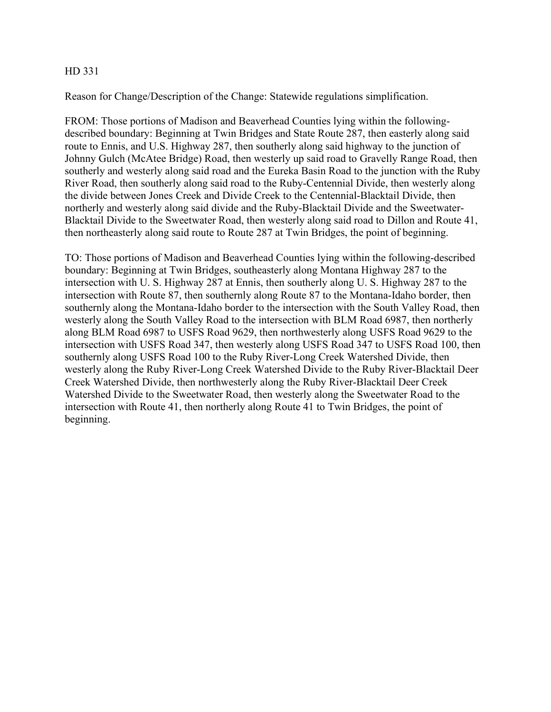Reason for Change/Description of the Change: Statewide regulations simplification.

FROM: Those portions of Madison and Beaverhead Counties lying within the followingdescribed boundary: Beginning at Twin Bridges and State Route 287, then easterly along said route to Ennis, and U.S. Highway 287, then southerly along said highway to the junction of Johnny Gulch (McAtee Bridge) Road, then westerly up said road to Gravelly Range Road, then southerly and westerly along said road and the Eureka Basin Road to the junction with the Ruby River Road, then southerly along said road to the Ruby-Centennial Divide, then westerly along the divide between Jones Creek and Divide Creek to the Centennial-Blacktail Divide, then northerly and westerly along said divide and the Ruby-Blacktail Divide and the Sweetwater-Blacktail Divide to the Sweetwater Road, then westerly along said road to Dillon and Route 41, then northeasterly along said route to Route 287 at Twin Bridges, the point of beginning.

TO: Those portions of Madison and Beaverhead Counties lying within the following-described boundary: Beginning at Twin Bridges, southeasterly along Montana Highway 287 to the intersection with U. S. Highway 287 at Ennis, then southerly along U. S. Highway 287 to the intersection with Route 87, then southernly along Route 87 to the Montana-Idaho border, then southernly along the Montana-Idaho border to the intersection with the South Valley Road, then westerly along the South Valley Road to the intersection with BLM Road 6987, then northerly along BLM Road 6987 to USFS Road 9629, then northwesterly along USFS Road 9629 to the intersection with USFS Road 347, then westerly along USFS Road 347 to USFS Road 100, then southernly along USFS Road 100 to the Ruby River-Long Creek Watershed Divide, then westerly along the Ruby River-Long Creek Watershed Divide to the Ruby River-Blacktail Deer Creek Watershed Divide, then northwesterly along the Ruby River-Blacktail Deer Creek Watershed Divide to the Sweetwater Road, then westerly along the Sweetwater Road to the intersection with Route 41, then northerly along Route 41 to Twin Bridges, the point of beginning.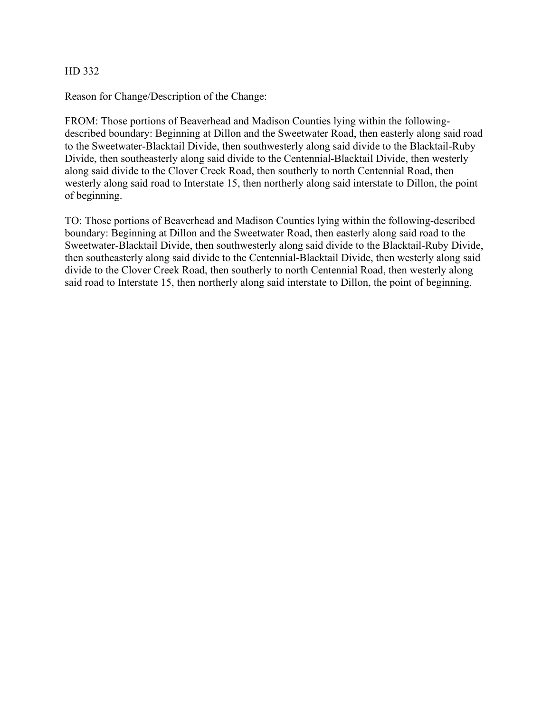Reason for Change/Description of the Change:

FROM: Those portions of Beaverhead and Madison Counties lying within the followingdescribed boundary: Beginning at Dillon and the Sweetwater Road, then easterly along said road to the Sweetwater-Blacktail Divide, then southwesterly along said divide to the Blacktail-Ruby Divide, then southeasterly along said divide to the Centennial-Blacktail Divide, then westerly along said divide to the Clover Creek Road, then southerly to north Centennial Road, then westerly along said road to Interstate 15, then northerly along said interstate to Dillon, the point of beginning.

TO: Those portions of Beaverhead and Madison Counties lying within the following-described boundary: Beginning at Dillon and the Sweetwater Road, then easterly along said road to the Sweetwater-Blacktail Divide, then southwesterly along said divide to the Blacktail-Ruby Divide, then southeasterly along said divide to the Centennial-Blacktail Divide, then westerly along said divide to the Clover Creek Road, then southerly to north Centennial Road, then westerly along said road to Interstate 15, then northerly along said interstate to Dillon, the point of beginning.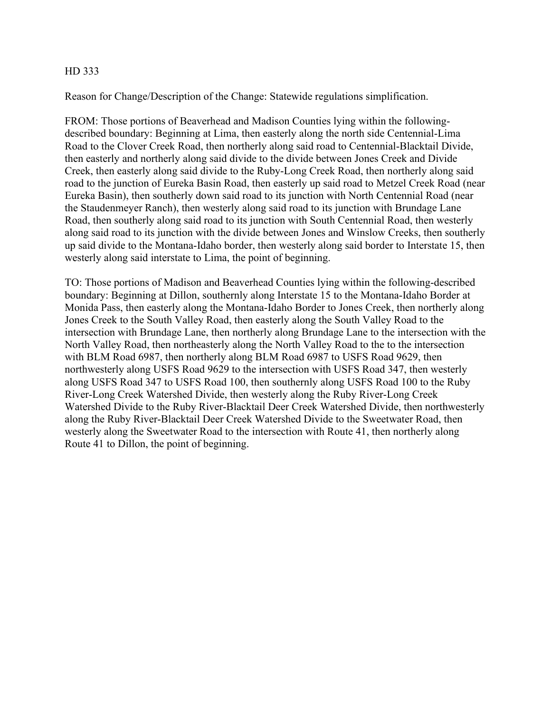Reason for Change/Description of the Change: Statewide regulations simplification.

FROM: Those portions of Beaverhead and Madison Counties lying within the followingdescribed boundary: Beginning at Lima, then easterly along the north side Centennial-Lima Road to the Clover Creek Road, then northerly along said road to Centennial-Blacktail Divide, then easterly and northerly along said divide to the divide between Jones Creek and Divide Creek, then easterly along said divide to the Ruby-Long Creek Road, then northerly along said road to the junction of Eureka Basin Road, then easterly up said road to Metzel Creek Road (near Eureka Basin), then southerly down said road to its junction with North Centennial Road (near the Staudenmeyer Ranch), then westerly along said road to its junction with Brundage Lane Road, then southerly along said road to its junction with South Centennial Road, then westerly along said road to its junction with the divide between Jones and Winslow Creeks, then southerly up said divide to the Montana-Idaho border, then westerly along said border to Interstate 15, then westerly along said interstate to Lima, the point of beginning.

TO: Those portions of Madison and Beaverhead Counties lying within the following-described boundary: Beginning at Dillon, southernly along Interstate 15 to the Montana-Idaho Border at Monida Pass, then easterly along the Montana-Idaho Border to Jones Creek, then northerly along Jones Creek to the South Valley Road, then easterly along the South Valley Road to the intersection with Brundage Lane, then northerly along Brundage Lane to the intersection with the North Valley Road, then northeasterly along the North Valley Road to the to the intersection with BLM Road 6987, then northerly along BLM Road 6987 to USFS Road 9629, then northwesterly along USFS Road 9629 to the intersection with USFS Road 347, then westerly along USFS Road 347 to USFS Road 100, then southernly along USFS Road 100 to the Ruby River-Long Creek Watershed Divide, then westerly along the Ruby River-Long Creek Watershed Divide to the Ruby River-Blacktail Deer Creek Watershed Divide, then northwesterly along the Ruby River-Blacktail Deer Creek Watershed Divide to the Sweetwater Road, then westerly along the Sweetwater Road to the intersection with Route 41, then northerly along Route 41 to Dillon, the point of beginning.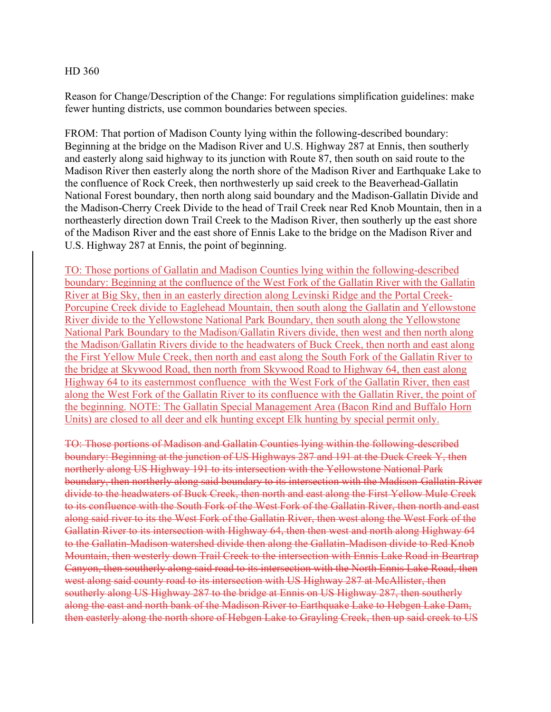Reason for Change/Description of the Change: For regulations simplification guidelines: make fewer hunting districts, use common boundaries between species.

FROM: That portion of Madison County lying within the following-described boundary: Beginning at the bridge on the Madison River and U.S. Highway 287 at Ennis, then southerly and easterly along said highway to its junction with Route 87, then south on said route to the Madison River then easterly along the north shore of the Madison River and Earthquake Lake to the confluence of Rock Creek, then northwesterly up said creek to the Beaverhead-Gallatin National Forest boundary, then north along said boundary and the Madison-Gallatin Divide and the Madison-Cherry Creek Divide to the head of Trail Creek near Red Knob Mountain, then in a northeasterly direction down Trail Creek to the Madison River, then southerly up the east shore of the Madison River and the east shore of Ennis Lake to the bridge on the Madison River and U.S. Highway 287 at Ennis, the point of beginning.

TO: Those portions of Gallatin and Madison Counties lying within the following-described boundary: Beginning at the confluence of the West Fork of the Gallatin River with the Gallatin River at Big Sky, then in an easterly direction along Levinski Ridge and the Portal Creek-Porcupine Creek divide to Eaglehead Mountain, then south along the Gallatin and Yellowstone River divide to the Yellowstone National Park Boundary, then south along the Yellowstone National Park Boundary to the Madison/Gallatin Rivers divide, then west and then north along the Madison/Gallatin Rivers divide to the headwaters of Buck Creek, then north and east along the First Yellow Mule Creek, then north and east along the South Fork of the Gallatin River to the bridge at Skywood Road, then north from Skywood Road to Highway 64, then east along Highway 64 to its easternmost confluence with the West Fork of the Gallatin River, then east along the West Fork of the Gallatin River to its confluence with the Gallatin River, the point of the beginning. NOTE: The Gallatin Special Management Area (Bacon Rind and Buffalo Horn Units) are closed to all deer and elk hunting except Elk hunting by special permit only.

TO: Those portions of Madison and Gallatin Counties lying within the following-described boundary: Beginning at the junction of US Highways 287 and 191 at the Duck Creek Y, then northerly along US Highway 191 to its intersection with the Yellowstone National Park boundary, then northerly along said boundary to its intersection with the Madison-Gallatin River divide to the headwaters of Buck Creek, then north and east along the First Yellow Mule Creek to its confluence with the South Fork of the West Fork of the Gallatin River, then north and east along said river to its the West Fork of the Gallatin River, then west along the West Fork of the Gallatin River to its intersection with Highway 64, then then west and north along Highway 64 to the Gallatin-Madison watershed divide then along the Gallatin-Madison divide to Red Knob Mountain, then westerly down Trail Creek to the intersection with Ennis Lake Road in Beartrap Canyon, then southerly along said road to its intersection with the North Ennis Lake Road, then west along said county road to its intersection with US Highway 287 at McAllister, then southerly along US Highway 287 to the bridge at Ennis on US Highway 287, then southerly along the east and north bank of the Madison River to Earthquake Lake to Hebgen Lake Dam, then easterly along the north shore of Hebgen Lake to Grayling Creek, then up said creek to US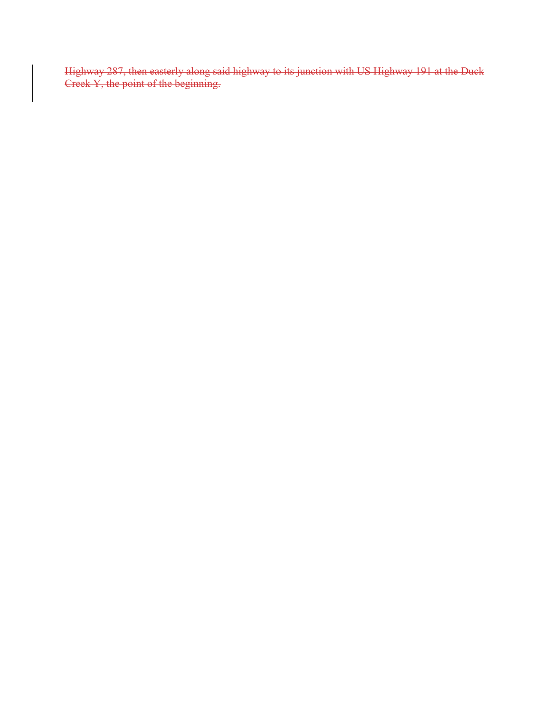Highway 287, then easterly along said highway to its junction with US Highway 191 at the Duck Creek Y, the point of the beginning.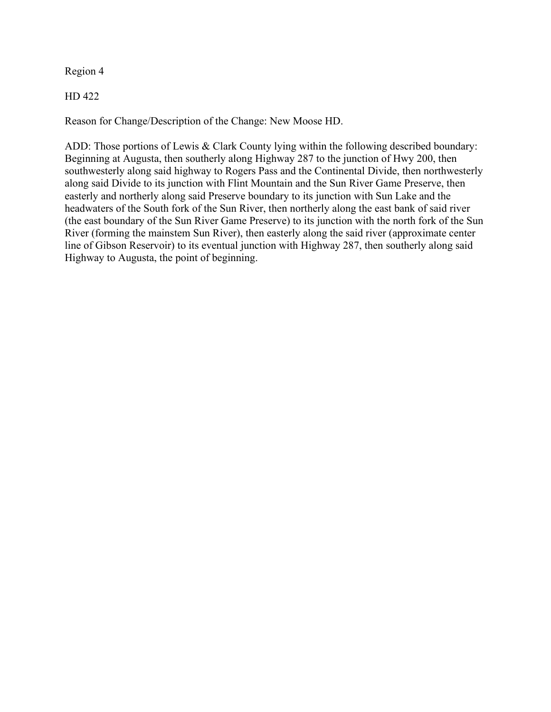Region 4

HD 422

Reason for Change/Description of the Change: New Moose HD.

ADD: Those portions of Lewis & Clark County lying within the following described boundary: Beginning at Augusta, then southerly along Highway 287 to the junction of Hwy 200, then southwesterly along said highway to Rogers Pass and the Continental Divide, then northwesterly along said Divide to its junction with Flint Mountain and the Sun River Game Preserve, then easterly and northerly along said Preserve boundary to its junction with Sun Lake and the headwaters of the South fork of the Sun River, then northerly along the east bank of said river (the east boundary of the Sun River Game Preserve) to its junction with the north fork of the Sun River (forming the mainstem Sun River), then easterly along the said river (approximate center line of Gibson Reservoir) to its eventual junction with Highway 287, then southerly along said Highway to Augusta, the point of beginning.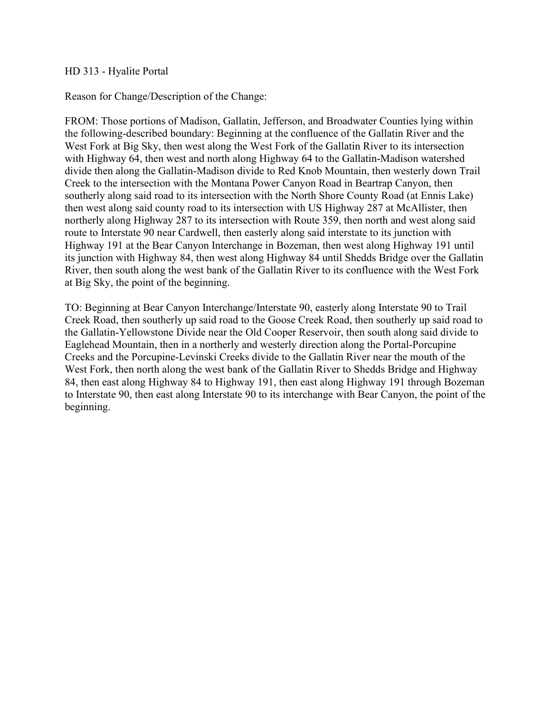#### HD 313 - Hyalite Portal

## Reason for Change/Description of the Change:

FROM: Those portions of Madison, Gallatin, Jefferson, and Broadwater Counties lying within the following-described boundary: Beginning at the confluence of the Gallatin River and the West Fork at Big Sky, then west along the West Fork of the Gallatin River to its intersection with Highway 64, then west and north along Highway 64 to the Gallatin-Madison watershed divide then along the Gallatin-Madison divide to Red Knob Mountain, then westerly down Trail Creek to the intersection with the Montana Power Canyon Road in Beartrap Canyon, then southerly along said road to its intersection with the North Shore County Road (at Ennis Lake) then west along said county road to its intersection with US Highway 287 at McAllister, then northerly along Highway 287 to its intersection with Route 359, then north and west along said route to Interstate 90 near Cardwell, then easterly along said interstate to its junction with Highway 191 at the Bear Canyon Interchange in Bozeman, then west along Highway 191 until its junction with Highway 84, then west along Highway 84 until Shedds Bridge over the Gallatin River, then south along the west bank of the Gallatin River to its confluence with the West Fork at Big Sky, the point of the beginning.

TO: Beginning at Bear Canyon Interchange/Interstate 90, easterly along Interstate 90 to Trail Creek Road, then southerly up said road to the Goose Creek Road, then southerly up said road to the Gallatin-Yellowstone Divide near the Old Cooper Reservoir, then south along said divide to Eaglehead Mountain, then in a northerly and westerly direction along the Portal-Porcupine Creeks and the Porcupine-Levinski Creeks divide to the Gallatin River near the mouth of the West Fork, then north along the west bank of the Gallatin River to Shedds Bridge and Highway 84, then east along Highway 84 to Highway 191, then east along Highway 191 through Bozeman to Interstate 90, then east along Interstate 90 to its interchange with Bear Canyon, the point of the beginning.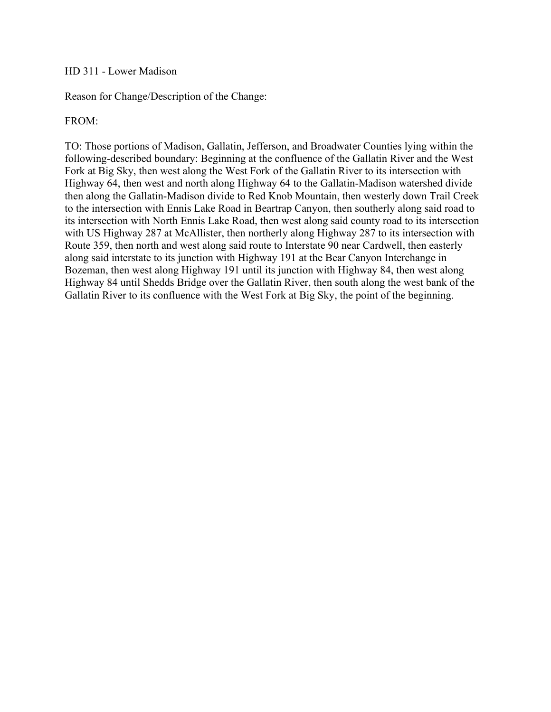#### HD 311 - Lower Madison

Reason for Change/Description of the Change:

# FROM:

TO: Those portions of Madison, Gallatin, Jefferson, and Broadwater Counties lying within the following-described boundary: Beginning at the confluence of the Gallatin River and the West Fork at Big Sky, then west along the West Fork of the Gallatin River to its intersection with Highway 64, then west and north along Highway 64 to the Gallatin-Madison watershed divide then along the Gallatin-Madison divide to Red Knob Mountain, then westerly down Trail Creek to the intersection with Ennis Lake Road in Beartrap Canyon, then southerly along said road to its intersection with North Ennis Lake Road, then west along said county road to its intersection with US Highway 287 at McAllister, then northerly along Highway 287 to its intersection with Route 359, then north and west along said route to Interstate 90 near Cardwell, then easterly along said interstate to its junction with Highway 191 at the Bear Canyon Interchange in Bozeman, then west along Highway 191 until its junction with Highway 84, then west along Highway 84 until Shedds Bridge over the Gallatin River, then south along the west bank of the Gallatin River to its confluence with the West Fork at Big Sky, the point of the beginning.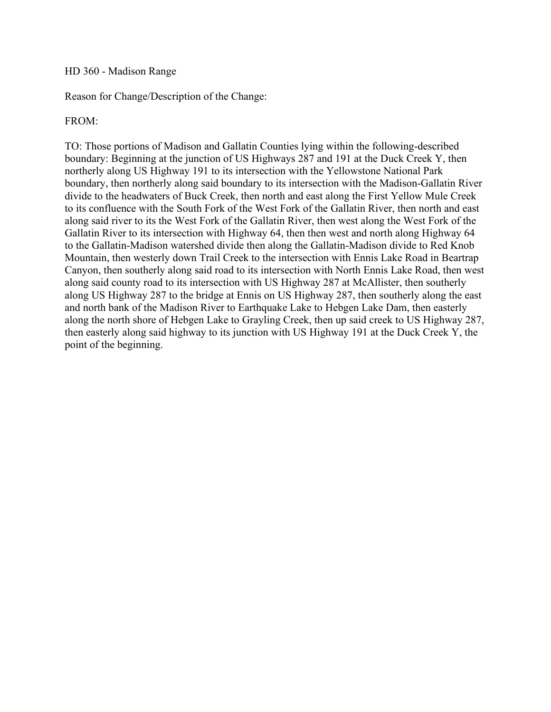#### HD 360 - Madison Range

Reason for Change/Description of the Change:

# FROM:

TO: Those portions of Madison and Gallatin Counties lying within the following-described boundary: Beginning at the junction of US Highways 287 and 191 at the Duck Creek Y, then northerly along US Highway 191 to its intersection with the Yellowstone National Park boundary, then northerly along said boundary to its intersection with the Madison-Gallatin River divide to the headwaters of Buck Creek, then north and east along the First Yellow Mule Creek to its confluence with the South Fork of the West Fork of the Gallatin River, then north and east along said river to its the West Fork of the Gallatin River, then west along the West Fork of the Gallatin River to its intersection with Highway 64, then then west and north along Highway 64 to the Gallatin-Madison watershed divide then along the Gallatin-Madison divide to Red Knob Mountain, then westerly down Trail Creek to the intersection with Ennis Lake Road in Beartrap Canyon, then southerly along said road to its intersection with North Ennis Lake Road, then west along said county road to its intersection with US Highway 287 at McAllister, then southerly along US Highway 287 to the bridge at Ennis on US Highway 287, then southerly along the east and north bank of the Madison River to Earthquake Lake to Hebgen Lake Dam, then easterly along the north shore of Hebgen Lake to Grayling Creek, then up said creek to US Highway 287, then easterly along said highway to its junction with US Highway 191 at the Duck Creek Y, the point of the beginning.